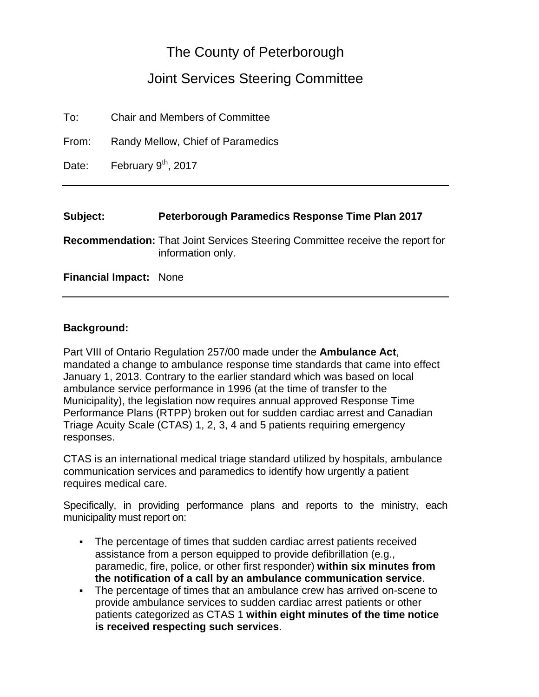# The County of Peterborough

# Joint Services Steering Committee

From: Randy Mellow, Chief of Paramedics

Date: February 9<sup>th</sup>, 2017

#### **Subject: Peterborough Paramedics Response Time Plan 2017**

**Recommendation:** That Joint Services Steering Committee receive the report for information only.

**Financial Impact:** None

#### **Background:**

Part VIII of Ontario Regulation 257/00 made under the **Ambulance Act**, mandated a change to ambulance response time standards that came into effect January 1, 2013. Contrary to the earlier standard which was based on local ambulance service performance in 1996 (at the time of transfer to the Municipality), the legislation now requires annual approved Response Time Performance Plans (RTPP) broken out for sudden cardiac arrest and Canadian Triage Acuity Scale (CTAS) 1, 2, 3, 4 and 5 patients requiring emergency responses.

CTAS is an international medical triage standard utilized by hospitals, ambulance communication services and paramedics to identify how urgently a patient requires medical care.

Specifically, in providing performance plans and reports to the ministry, each municipality must report on:

- The percentage of times that sudden cardiac arrest patients received assistance from a person equipped to provide defibrillation (e.g., paramedic, fire, police, or other first responder) **within six minutes from the notification of a call by an ambulance communication service**.
- The percentage of times that an ambulance crew has arrived on-scene to provide ambulance services to sudden cardiac arrest patients or other patients categorized as CTAS 1 **within eight minutes of the time notice is received respecting such services**.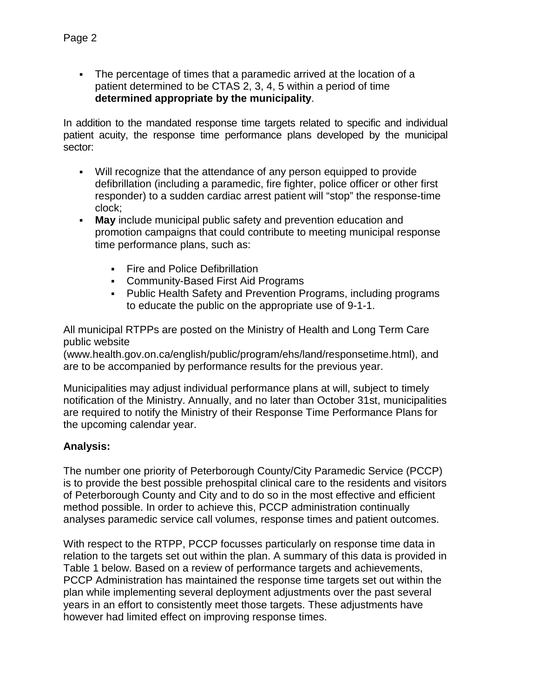The percentage of times that a paramedic arrived at the location of a patient determined to be CTAS 2, 3, 4, 5 within a period of time **determined appropriate by the municipality**.

In addition to the mandated response time targets related to specific and individual patient acuity, the response time performance plans developed by the municipal sector:

- Will recognize that the attendance of any person equipped to provide defibrillation (including a paramedic, fire fighter, police officer or other first responder) to a sudden cardiac arrest patient will "stop" the response-time clock;
- **May** include municipal public safety and prevention education and promotion campaigns that could contribute to meeting municipal response time performance plans, such as:
	- Fire and Police Defibrillation
	- Community-Based First Aid Programs
	- Public Health Safety and Prevention Programs, including programs to educate the public on the appropriate use of 9-1-1.

All municipal RTPPs are posted on the Ministry of Health and Long Term Care public website

(www.health.gov.on.ca/english/public/program/ehs/land/responsetime.html), and are to be accompanied by performance results for the previous year.

Municipalities may adjust individual performance plans at will, subject to timely notification of the Ministry. Annually, and no later than October 31st, municipalities are required to notify the Ministry of their Response Time Performance Plans for the upcoming calendar year.

### **Analysis:**

The number one priority of Peterborough County/City Paramedic Service (PCCP) is to provide the best possible prehospital clinical care to the residents and visitors of Peterborough County and City and to do so in the most effective and efficient method possible. In order to achieve this, PCCP administration continually analyses paramedic service call volumes, response times and patient outcomes.

With respect to the RTPP, PCCP focusses particularly on response time data in relation to the targets set out within the plan. A summary of this data is provided in Table 1 below. Based on a review of performance targets and achievements, PCCP Administration has maintained the response time targets set out within the plan while implementing several deployment adjustments over the past several years in an effort to consistently meet those targets. These adjustments have however had limited effect on improving response times.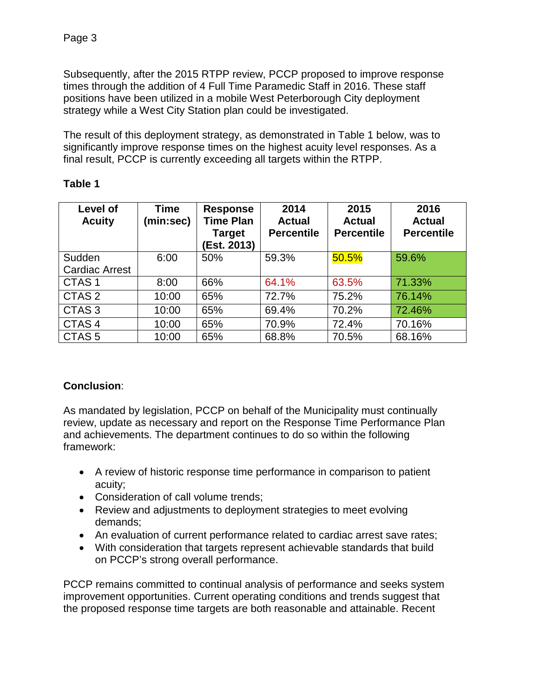Subsequently, after the 2015 RTPP review, PCCP proposed to improve response times through the addition of 4 Full Time Paramedic Staff in 2016. These staff positions have been utilized in a mobile West Peterborough City deployment strategy while a West City Station plan could be investigated.

The result of this deployment strategy, as demonstrated in Table 1 below, was to significantly improve response times on the highest acuity level responses. As a final result, PCCP is currently exceeding all targets within the RTPP.

| Level of<br><b>Acuity</b> | <b>Time</b><br>(min:sec) | <b>Response</b><br><b>Time Plan</b><br><b>Target</b><br>(Est. 2013) | 2014<br><b>Actual</b><br><b>Percentile</b> | 2015<br><b>Actual</b><br><b>Percentile</b> | 2016<br><b>Actual</b><br><b>Percentile</b> |
|---------------------------|--------------------------|---------------------------------------------------------------------|--------------------------------------------|--------------------------------------------|--------------------------------------------|
| Sudden                    | 6:00                     | 50%                                                                 | 59.3%                                      | 50.5%                                      | 59.6%                                      |
| <b>Cardiac Arrest</b>     |                          |                                                                     |                                            |                                            |                                            |
| CTAS <sub>1</sub>         | 8:00                     | 66%                                                                 | 64.1%                                      | 63.5%                                      | 71.33%                                     |
| CTAS <sub>2</sub>         | 10:00                    | 65%                                                                 | 72.7%                                      | 75.2%                                      | 76.14%                                     |
| CTAS <sub>3</sub>         | 10:00                    | 65%                                                                 | 69.4%                                      | 70.2%                                      | 72.46%                                     |
| CTAS <sub>4</sub>         | 10:00                    | 65%                                                                 | 70.9%                                      | 72.4%                                      | 70.16%                                     |
| CTAS <sub>5</sub>         | 10:00                    | 65%                                                                 | 68.8%                                      | 70.5%                                      | 68.16%                                     |

## **Table 1**

### **Conclusion**:

As mandated by legislation, PCCP on behalf of the Municipality must continually review, update as necessary and report on the Response Time Performance Plan and achievements. The department continues to do so within the following framework:

- A review of historic response time performance in comparison to patient acuity;
- Consideration of call volume trends;
- Review and adjustments to deployment strategies to meet evolving demands;
- An evaluation of current performance related to cardiac arrest save rates;
- With consideration that targets represent achievable standards that build on PCCP's strong overall performance.

PCCP remains committed to continual analysis of performance and seeks system improvement opportunities. Current operating conditions and trends suggest that the proposed response time targets are both reasonable and attainable. Recent